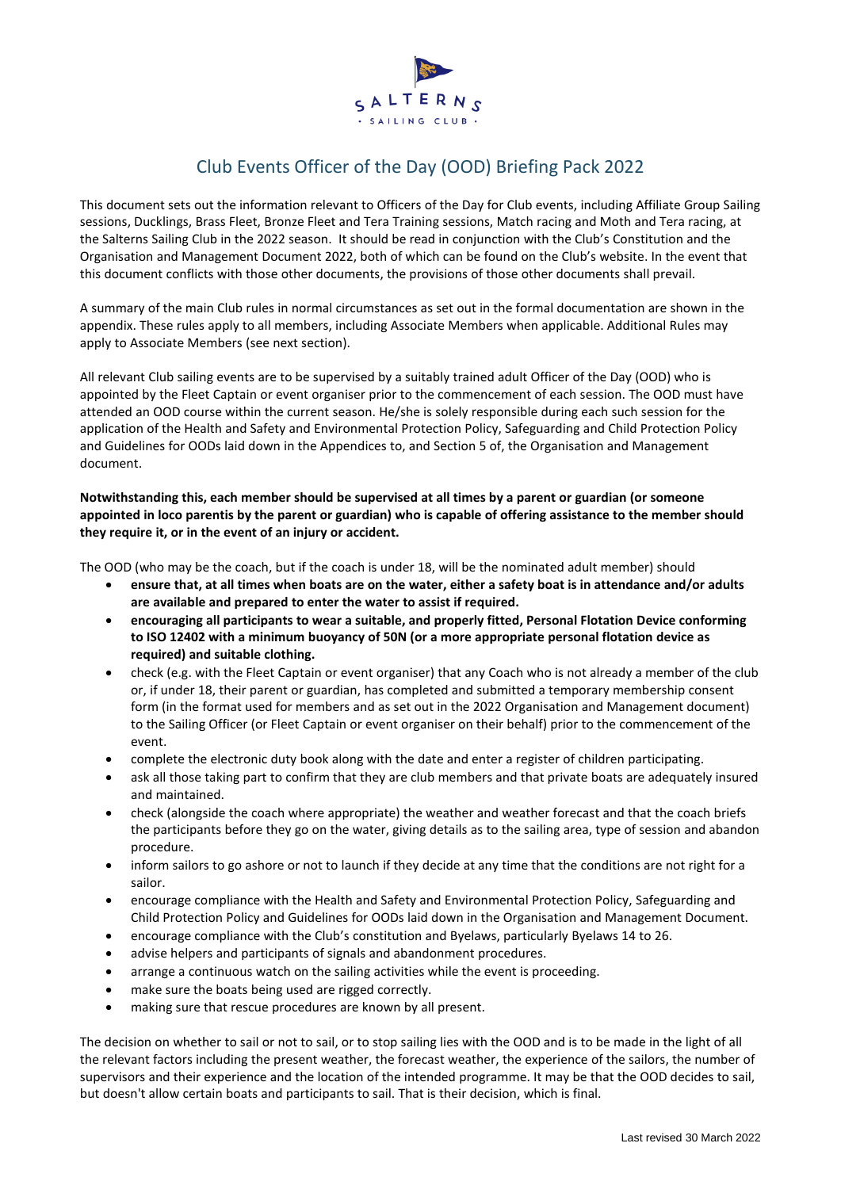

## Club Events Officer of the Day (OOD) Briefing Pack 2022

This document sets out the information relevant to Officers of the Day for Club events, including Affiliate Group Sailing sessions, Ducklings, Brass Fleet, Bronze Fleet and Tera Training sessions, Match racing and Moth and Tera racing, at the Salterns Sailing Club in the 2022 season. It should be read in conjunction with the Club's Constitution and the Organisation and Management Document 2022, both of which can be found on the Club's website. In the event that this document conflicts with those other documents, the provisions of those other documents shall prevail.

A summary of the main Club rules in normal circumstances as set out in the formal documentation are shown in the appendix. These rules apply to all members, including Associate Members when applicable. Additional Rules may apply to Associate Members (see next section).

All relevant Club sailing events are to be supervised by a suitably trained adult Officer of the Day (OOD) who is appointed by the Fleet Captain or event organiser prior to the commencement of each session. The OOD must have attended an OOD course within the current season. He/she is solely responsible during each such session for the application of the Health and Safety and Environmental Protection Policy, Safeguarding and Child Protection Policy and Guidelines for OODs laid down in the Appendices to, and Section 5 of, the Organisation and Management document.

**Notwithstanding this, each member should be supervised at all times by a parent or guardian (or someone** appointed in loco parentis by the parent or guardian) who is capable of offering assistance to the member should **they require it, or in the event of an injury or accident.**

The OOD (who may be the coach, but if the coach is under 18, will be the nominated adult member) should

- ensure that, at all times when boats are on the water, either a safety boat is in attendance and/or adults **are available and prepared to enter the water to assist if required.**
- **encouraging all participants to wear a suitable, and properly fitted, Personal Flotation Device conforming to ISO 12402 with a minimum buoyancy of 50N (or a more appropriate personal flotation device as required) and suitable clothing.**
- check (e.g. with the Fleet Captain or event organiser) that any Coach who is not already a member of the club or, if under 18, their parent or guardian, has completed and submitted a temporary membership consent form (in the format used for members and as set out in the 2022 Organisation and Management document) to the Sailing Officer (or Fleet Captain or event organiser on their behalf) prior to the commencement of the event.
- complete the electronic duty book along with the date and enter a register of children participating.
- ask all those taking part to confirm that they are club members and that private boats are adequately insured and maintained.
- check (alongside the coach where appropriate) the weather and weather forecast and that the coach briefs the participants before they go on the water, giving details as to the sailing area, type of session and abandon procedure.
- inform sailors to go ashore or not to launch if they decide at any time that the conditions are not right for a sailor.
- encourage compliance with the Health and Safety and Environmental Protection Policy, Safeguarding and Child Protection Policy and Guidelines for OODs laid down in the Organisation and Management Document.
- encourage compliance with the Club's constitution and Byelaws, particularly Byelaws 14 to 26.
- advise helpers and participants of signals and abandonment procedures.
- arrange a continuous watch on the sailing activities while the event is proceeding.
- make sure the boats being used are rigged correctly.
- making sure that rescue procedures are known by all present.

The decision on whether to sail or not to sail, or to stop sailing lies with the OOD and is to be made in the light of all the relevant factors including the present weather, the forecast weather, the experience of the sailors, the number of supervisors and their experience and the location of the intended programme. It may be that the OOD decides to sail, but doesn't allow certain boats and participants to sail. That is their decision, which is final.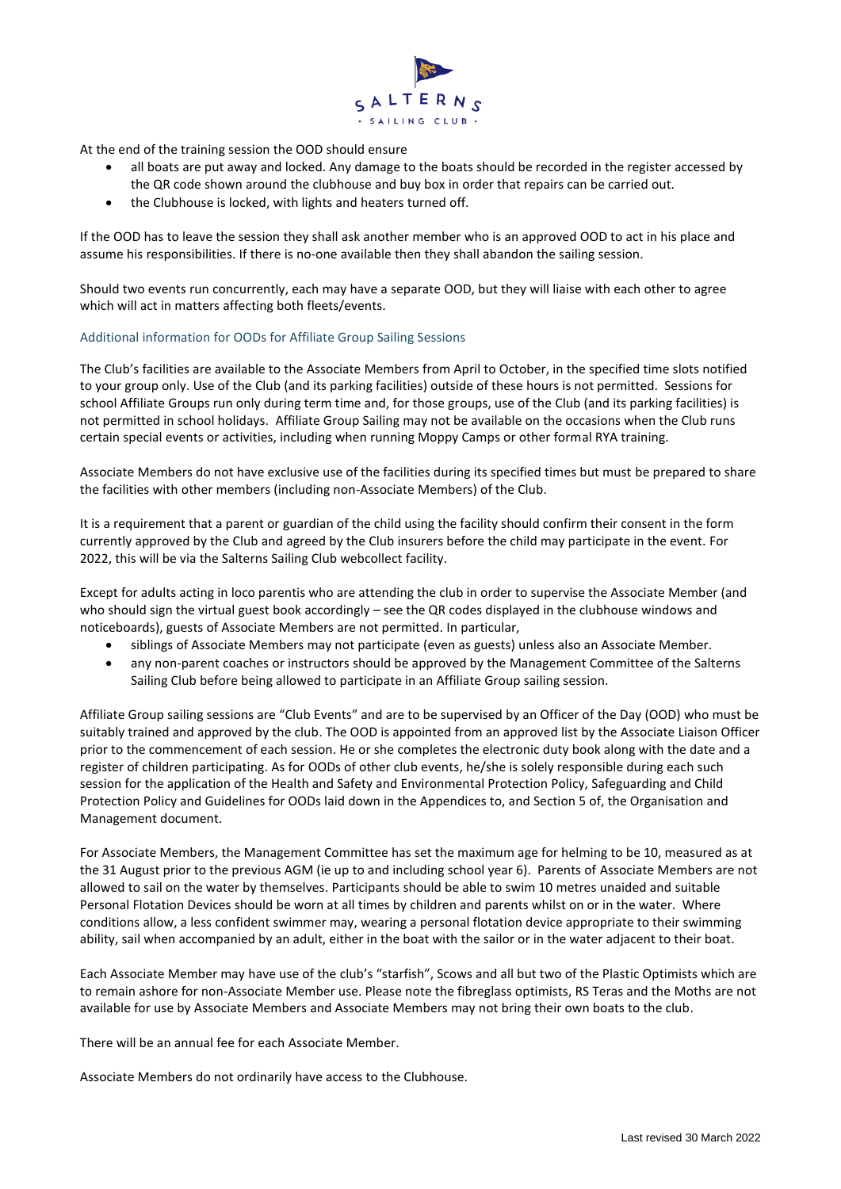

At the end of the training session the OOD should ensure

- all boats are put away and locked. Any damage to the boats should be recorded in the register accessed by the QR code shown around the clubhouse and buy box in order that repairs can be carried out.
- the Clubhouse is locked, with lights and heaters turned off.

If the OOD has to leave the session they shall ask another member who is an approved OOD to act in his place and assume his responsibilities. If there is no-one available then they shall abandon the sailing session.

Should two events run concurrently, each may have a separate OOD, but they will liaise with each other to agree which will act in matters affecting both fleets/events.

#### Additional information for OODs for Affiliate Group Sailing Sessions

The Club's facilities are available to the Associate Members from April to October, in the specified time slots notified to your group only. Use of the Club (and its parking facilities) outside of these hours is not permitted. Sessions for school Affiliate Groups run only during term time and, for those groups, use of the Club (and its parking facilities) is not permitted in school holidays. Affiliate Group Sailing may not be available on the occasions when the Club runs certain special events or activities, including when running Moppy Camps or other formal RYA training.

Associate Members do not have exclusive use of the facilities during its specified times but must be prepared to share the facilities with other members (including non-Associate Members) of the Club.

It is a requirement that a parent or guardian of the child using the facility should confirm their consent in the form currently approved by the Club and agreed by the Club insurers before the child may participate in the event. For 2022, this will be via the Salterns Sailing Club webcollect facility.

Except for adults acting in loco parentis who are attending the club in order to supervise the Associate Member (and who should sign the virtual guest book accordingly – see the QR codes displayed in the clubhouse windows and noticeboards), guests of Associate Members are not permitted. In particular,

- siblings of Associate Members may not participate (even as guests) unless also an Associate Member.
- any non-parent coaches or instructors should be approved by the Management Committee of the Salterns Sailing Club before being allowed to participate in an Affiliate Group sailing session.

Affiliate Group sailing sessions are "Club Events" and are to be supervised by an Officer of the Day (OOD) who must be suitably trained and approved by the club. The OOD is appointed from an approved list by the Associate Liaison Officer prior to the commencement of each session. He or she completes the electronic duty book along with the date and a register of children participating. As for OODs of other club events, he/she is solely responsible during each such session for the application of the Health and Safety and Environmental Protection Policy, Safeguarding and Child Protection Policy and Guidelines for OODs laid down in the Appendices to, and Section 5 of, the Organisation and Management document.

For Associate Members, the Management Committee has set the maximum age for helming to be 10, measured as at the 31 August prior to the previous AGM (ie up to and including school year 6). Parents of Associate Members are not allowed to sail on the water by themselves. Participants should be able to swim 10 metres unaided and suitable Personal Flotation Devices should be worn at all times by children and parents whilst on or in the water. Where conditions allow, a less confident swimmer may, wearing a personal flotation device appropriate to their swimming ability, sail when accompanied by an adult, either in the boat with the sailor or in the water adjacent to their boat.

Each Associate Member may have use of the club's "starfish", Scows and all but two of the Plastic Optimists which are to remain ashore for non-Associate Member use. Please note the fibreglass optimists, RS Teras and the Moths are not available for use by Associate Members and Associate Members may not bring their own boats to the club.

There will be an annual fee for each Associate Member.

Associate Members do not ordinarily have access to the Clubhouse.